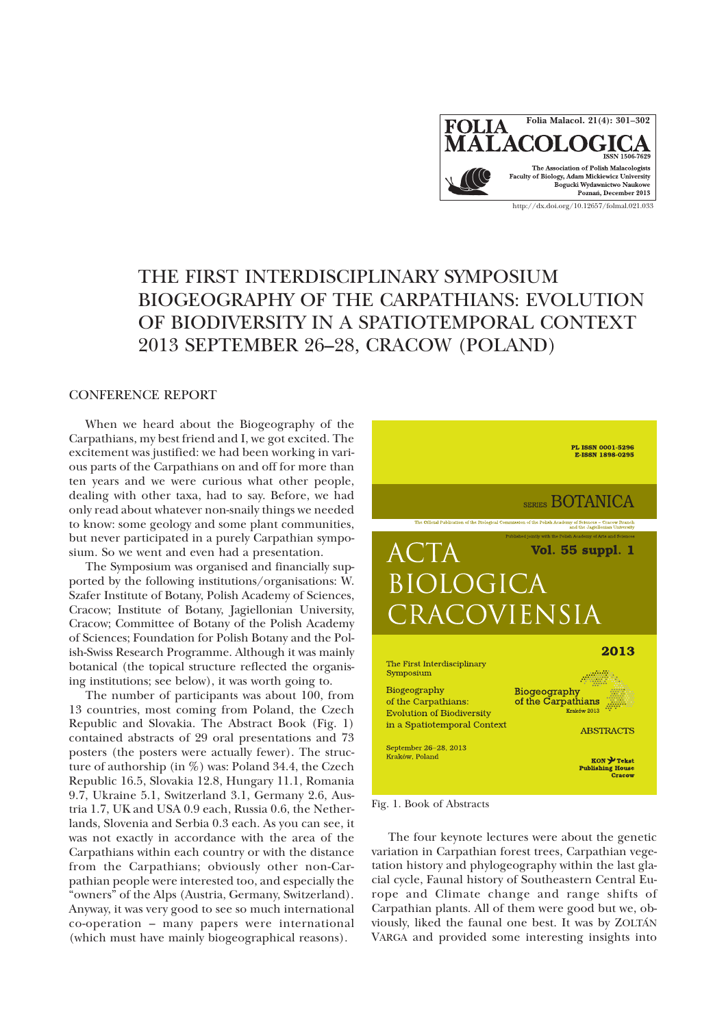

## THE FIRST INTERDISCIPLINARY SYMPOSIUM BIOGEOGRAPHY OF THE CARPATHIANS: EVOLUTION OF BIODIVERSITY IN A SPATIOTEMPORAL CONTEXT 2013 SEPTEMBER 26–28, CRACOW (POLAND)

## CONFERENCE REPORT

When we heard about the Biogeography of the Carpathians, my best friend and I, we got excited. The excitement was justified: we had been working in various parts of the Carpathians on and off for more than ten years and we were curious what other people, dealing with other taxa, had to say. Before, we had only read about whatever non-snaily things we needed to know: some geology and some plant communities, but never participated in a purely Carpathian symposium. So we went and even had a presentation.

The Symposium was organised and financially supported by the following institutions/organisations: W. Szafer Institute of Botany, Polish Academy of Sciences, Cracow; Institute of Botany, Jagiellonian University, Cracow; Committee of Botany of the Polish Academy of Sciences; Foundation for Polish Botany and the Polish-Swiss Research Programme. Although it was mainly botanical (the topical structure reflected the organising institutions; see below), it was worth going to.

The number of participants was about 100, from 13 countries, most coming from Poland, the Czech Republic and Slovakia. The Abstract Book (Fig. 1) contained abstracts of 29 oral presentations and 73 posters (the posters were actually fewer). The structure of authorship (in %) was: Poland 34.4, the Czech Republic 16.5, Slovakia 12.8, Hungary 11.1, Romania 9.7, Ukraine 5.1, Switzerland 3.1, Germany 2.6, Austria 1.7, UK and USA 0.9 each, Russia 0.6, the Netherlands, Slovenia and Serbia 0.3 each. As you can see, it was not exactly in accordance with the area of the Carpathians within each country or with the distance from the Carpathians; obviously other non-Carpathian people were interested too, and especially the "owners" of the Alps (Austria, Germany, Switzerland). Anyway, it was very good to see so much international co-operation – many papers were international (which must have mainly biogeographical reasons).



Fig. 1. Book of Abstracts

The four keynote lectures were about the genetic variation in Carpathian forest trees, Carpathian vegetation history and phylogeography within the last glacial cycle, Faunal history of Southeastern Central Europe and Climate change and range shifts of Carpathian plants. All of them were good but we, obviously, liked the faunal one best. It was by ZOLTÁN VARGA and provided some interesting insights into